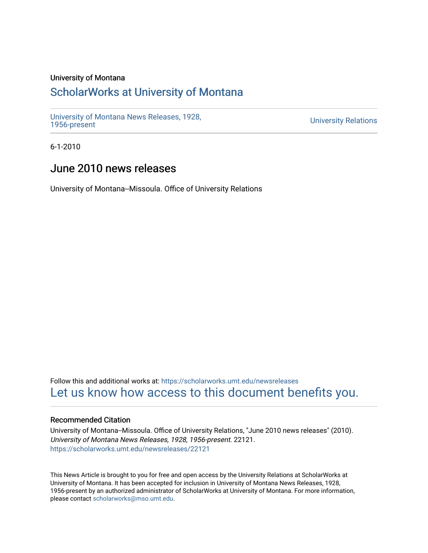# University of Montana

# [ScholarWorks at University of Montana](https://scholarworks.umt.edu/)

[University of Montana News Releases, 1928,](https://scholarworks.umt.edu/newsreleases) 

**University Relations** 

6-1-2010

# June 2010 news releases

University of Montana--Missoula. Office of University Relations

Follow this and additional works at: [https://scholarworks.umt.edu/newsreleases](https://scholarworks.umt.edu/newsreleases?utm_source=scholarworks.umt.edu%2Fnewsreleases%2F22121&utm_medium=PDF&utm_campaign=PDFCoverPages) [Let us know how access to this document benefits you.](https://goo.gl/forms/s2rGfXOLzz71qgsB2) 

# Recommended Citation

University of Montana--Missoula. Office of University Relations, "June 2010 news releases" (2010). University of Montana News Releases, 1928, 1956-present. 22121. [https://scholarworks.umt.edu/newsreleases/22121](https://scholarworks.umt.edu/newsreleases/22121?utm_source=scholarworks.umt.edu%2Fnewsreleases%2F22121&utm_medium=PDF&utm_campaign=PDFCoverPages) 

This News Article is brought to you for free and open access by the University Relations at ScholarWorks at University of Montana. It has been accepted for inclusion in University of Montana News Releases, 1928, 1956-present by an authorized administrator of ScholarWorks at University of Montana. For more information, please contact [scholarworks@mso.umt.edu.](mailto:scholarworks@mso.umt.edu)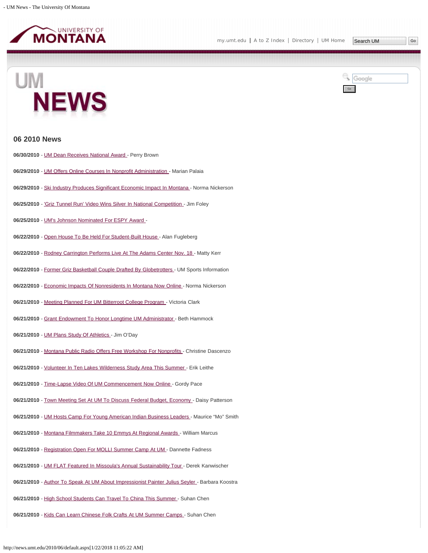

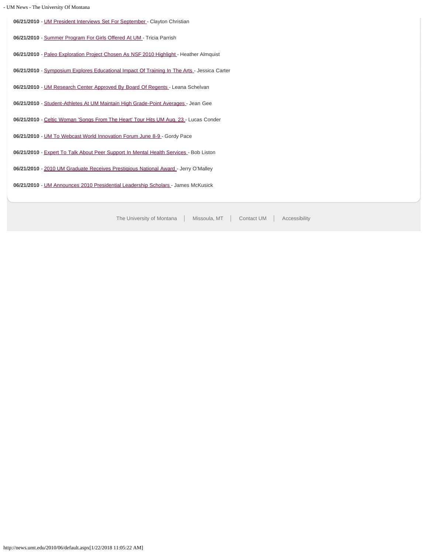|  |  | - UM News - The University Of Montana |
|--|--|---------------------------------------|

06/21/2010 - [UM President Interviews Set For September](#page-31-0) - Clayton Christian **06/21/2010** - [Summer Program For Girls Offered At UM](#page-32-0) - Tricia Parrish **06/21/2010** - [Paleo Exploration Project Chosen As NSF 2010 Highlight](#page-33-0) - Heather Almquist 06/21/2010 - [Symposium Explores Educational Impact Of Training In The Arts -](#page-35-0) Jessica Carter 06/21/2010 - [UM Research Center Approved By Board Of Regents -](#page-36-0) Leana Schelvan **06/21/2010** - [Student-Athletes At UM Maintain High Grade-Point Averages](#page-37-0) - Jean Gee **06/21/2010** - [Celtic Woman 'Songs From The Heart' Tour Hits UM Aug. 23](#page-38-0) - Lucas Conder **06/21/2010** - [UM To Webcast World Innovation Forum June 8-9](#page-39-0) - Gordy Pace 06/21/2010 - [Expert To Talk About Peer Support In Mental Health Services -](#page-40-0) Bob Liston 06/21/2010 - [2010 UM Graduate Receives Prestigious National Award -](#page-41-0) Jerry O'Malley **06/21/2010** - [UM Announces 2010 Presidential Leadership Scholars -](#page-42-0) James McKusick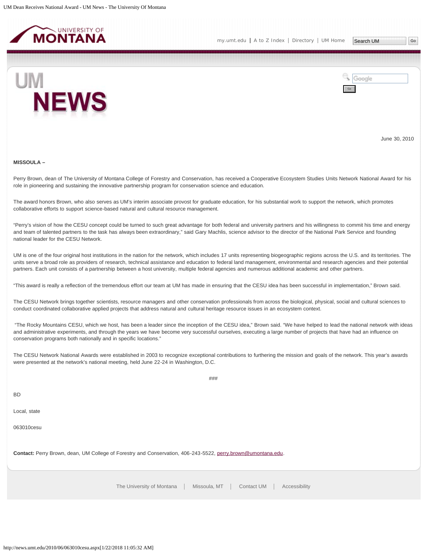<span id="page-3-0"></span>



June 30, 2010

#### **MISSOULA –**

Perry Brown, dean of The University of Montana College of Forestry and Conservation, has received a Cooperative Ecosystem Studies Units Network National Award for his role in pioneering and sustaining the innovative partnership program for conservation science and education.

The award honors Brown, who also serves as UM's interim associate provost for graduate education, for his substantial work to support the network, which promotes collaborative efforts to support science-based natural and cultural resource management.

"Perry's vision of how the CESU concept could be turned to such great advantage for both federal and university partners and his willingness to commit his time and energy and team of talented partners to the task has always been extraordinary," said Gary Machlis, science advisor to the director of the National Park Service and founding national leader for the CESU Network.

UM is one of the four original host institutions in the nation for the network, which includes 17 units representing biogeographic regions across the U.S. and its territories. The units serve a broad role as providers of research, technical assistance and education to federal land management, environmental and research agencies and their potential partners. Each unit consists of a partnership between a host university, multiple federal agencies and numerous additional academic and other partners.

"This award is really a reflection of the tremendous effort our team at UM has made in ensuring that the CESU idea has been successful in implementation," Brown said.

The CESU Network brings together scientists, resource managers and other conservation professionals from across the biological, physical, social and cultural sciences to conduct coordinated collaborative applied projects that address natural and cultural heritage resource issues in an ecosystem context.

"The Rocky Mountains CESU, which we host, has been a leader since the inception of the CESU idea," Brown said. "We have helped to lead the national network with ideas and administrative experiments, and through the years we have become very successful ourselves, executing a large number of projects that have had an influence on conservation programs both nationally and in specific locations."

The CESU Network National Awards were established in 2003 to recognize exceptional contributions to furthering the mission and goals of the network. This year's awards were presented at the network's national meeting, held June 22-24 in Washington, D.C.

###

BD

Local, state

063010cesu

**Contact:** Perry Brown, dean, UM College of Forestry and Conservation, 406-243-5522, [perry.brown@umontana.edu](mailto:perry.brown@umontana.edu).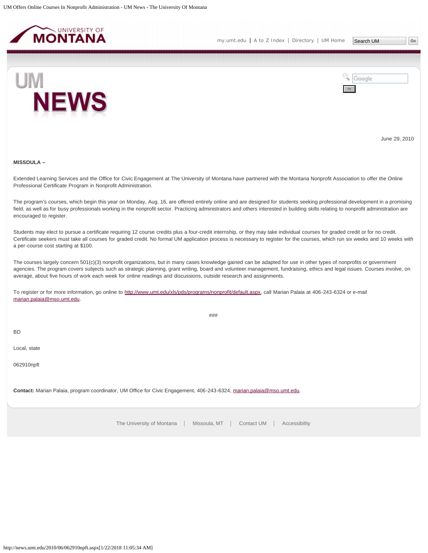<span id="page-4-0"></span>



June 29, 2010

#### **MISSOULA –**

Extended Learning Services and the Office for Civic Engagement at The University of Montana have partnered with the Montana Nonprofit Association to offer the Online Professional Certificate Program in Nonprofit Administration.

The program's courses, which begin this year on Monday, Aug. 16, are offered entirely online and are designed for students seeking professional development in a promising field, as well as for busy professionals working in the nonprofit sector. Practicing administrators and others interested in building skills relating to nonprofit administration are encouraged to register.

Students may elect to pursue a certificate requiring 12 course credits plus a four-credit internship, or they may take individual courses for graded credit or for no credit. Certificate seekers must take all courses for graded credit. No formal UM application process is necessary to register for the courses, which run six weeks and 10 weeks with a per-course cost starting at \$100.

The courses largely concern 501(c)(3) nonprofit organizations, but in many cases knowledge gained can be adapted for use in other types of nonprofits or government agencies. The program covers subjects such as strategic planning, grant writing, board and volunteer management, fundraising, ethics and legal issues. Courses involve, on average, about five hours of work each week for online readings and discussions, outside research and assignments.

To register or for more information, go online to<http://www.umt.edu/xls/pds/programs/nonprofit/default.aspx>, call Marian Palaia at 406-243-6324 or e-mail [marian.palaia@mso.umt.edu](mailto:marian.palaia@mso.umt.edu).

###

BD

Local, state

062910npft

**Contact:** Marian Palaia, program coordinator, UM Office for Civic Engagement, 406-243-6324, [marian.palaia@mso.umt.edu.](mailto:marian.palaia@mso.umt.edu)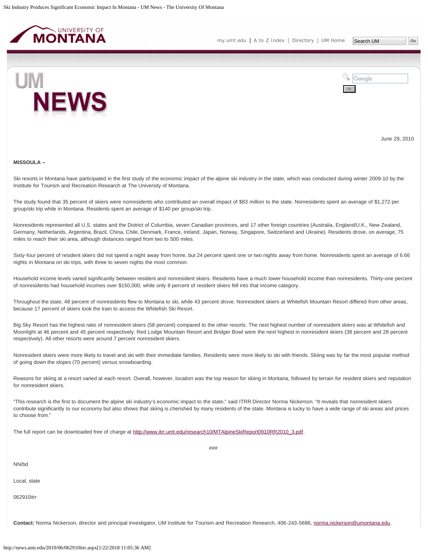<span id="page-5-0"></span>





June 29, 2010

#### **MISSOULA –**

Ski resorts in Montana have participated in the first study of the economic impact of the alpine ski industry in the state, which was conducted during winter 2009-10 by the Institute for Tourism and Recreation Research at The University of Montana.

The study found that 35 percent of skiers were nonresidents who contributed an overall impact of \$83 million to the state. Nonresidents spent an average of \$1,272 per group/ski trip while in Montana. Residents spent an average of \$140 per group/ski trip.

Nonresidents represented all U.S. states and the District of Columbia, seven Canadian provinces, and 17 other foreign countries (Australia, England/U.K., New Zealand, Germany, Netherlands, Argentina, Brazil, China, Chile, Denmark, France, Ireland, Japan, Norway, Singapore, Switzerland and Ukraine). Residents drove, on average, 75 miles to reach their ski area, although distances ranged from two to 500 miles.

Sixty-four percent of resident skiers did not spend a night away from home, but 24 percent spent one or two nights away from home. Nonresidents spent an average of 6.66 nights in Montana on ski trips, with three to seven nights the most common.

Household income levels varied significantly between resident and nonresident skiers. Residents have a much lower household income than nonresidents. Thirty-one percent of nonresidents had household incomes over \$150,000, while only 8 percent of resident skiers fell into that income category.

Throughout the state, 48 percent of nonresidents flew to Montana to ski, while 43 percent drove. Nonresident skiers at Whitefish Mountain Resort differed from other areas, because 17 percent of skiers took the train to access the Whitefish Ski Resort.

Big Sky Resort has the highest ratio of nonresident skiers (58 percent) compared to the other resorts. The next highest number of nonresident skiers was at Whitefish and Moonlight at 46 percent and 45 percent respectively. Red Lodge Mountain Resort and Bridger Bowl were the next highest in nonresident skiers (38 percent and 28 percent respectively). All other resorts were around 7 percent nonresident skiers.

Nonresident skiers were more likely to travel and ski with their immediate families. Residents were more likely to ski with friends. Skiing was by far the most popular method of going down the slopes (70 percent) versus snowboarding.

Reasons for skiing at a resort varied at each resort. Overall, however, location was the top reason for skiing in Montana, followed by terrain for resident skiers and reputation for nonresident skiers.

"This research is the first to document the alpine ski industry's economic impact to the state," said ITRR Director Norma Nickerson. "It reveals that nonresident skiers contribute significantly to our economy but also shows that skiing is cherished by many residents of the state. Montana is lucky to have a wide range of ski areas and prices to choose from."

###

The full report can be downloaded free of charge at [http://www.itrr.umt.edu/research10/MTAlpineSkiReport0910RR2010\\_3.pdf](http://www.itrr.umt.edu/research10/MTAlpineSkiReport0910RR2010_3.pdf).

NN/bd

Local, state

062910itrr

Contact: Norma Nickerson, director and principal investigator, UM Institute for Tourism and Recreation Research, 406-243-5686, [norma.nickerson@umontana.edu.](mailto:norma.nickerson@umontana.edu)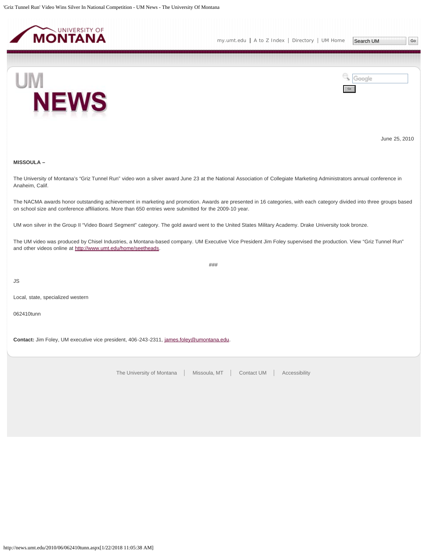<span id="page-7-0"></span>



June 25, 2010

# **MISSOULA –**

The University of Montana's "Griz Tunnel Run" video won a silver award June 23 at the National Association of Collegiate Marketing Administrators annual conference in Anaheim, Calif.

The NACMA awards honor outstanding achievement in marketing and promotion. Awards are presented in 16 categories, with each category divided into three groups based on school size and conference affiliations. More than 650 entries were submitted for the 2009-10 year.

UM won silver in the Group II "Video Board Segment" category. The gold award went to the United States Military Academy. Drake University took bronze.

The UM video was produced by Chisel Industries, a Montana-based company. UM Executive Vice President Jim Foley supervised the production. View "Griz Tunnel Run" and other videos online at<http://www.umt.edu/home/seetheads>.

###

JS

Local, state, specialized western

062410tunn

Contact: Jim Foley, UM executive vice president, 406-243-2311, [james.foley@umontana.edu](mailto:james.foley@umontana.edu).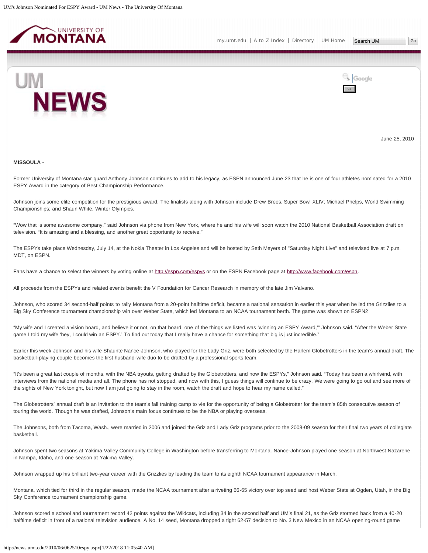<span id="page-8-0"></span>



June 25, 2010

#### **MISSOULA -**

Former University of Montana star guard Anthony Johnson continues to add to his legacy, as ESPN announced June 23 that he is one of four athletes nominated for a 2010 ESPY Award in the category of Best Championship Performance.

Johnson joins some elite competition for the prestigious award. The finalists along with Johnson include Drew Brees, Super Bowl XLIV; Michael Phelps, World Swimming Championships; and Shaun White, Winter Olympics.

"Wow that is some awesome company," said Johnson via phone from New York, where he and his wife will soon watch the 2010 National Basketball Association draft on television. "It is amazing and a blessing, and another great opportunity to receive."

The ESPYs take place Wednesday, July 14, at the Nokia Theater in Los Angeles and will be hosted by Seth Meyers of "Saturday Night Live" and televised live at 7 p.m. MDT, on ESPN.

Fans have a chance to select the winners by voting online at<http://espn.com/espys> or on the ESPN Facebook page at [http://www.facebook.com/espn.](http://www.facebook.com/espn)

All proceeds from the ESPYs and related events benefit the V Foundation for Cancer Research in memory of the late Jim Valvano.

Johnson, who scored 34 second-half points to rally Montana from a 20-point halftime deficit, became a national sensation in earlier this year when he led the Grizzlies to a Big Sky Conference tournament championship win over Weber State, which led Montana to an NCAA tournament berth. The game was shown on ESPN2

"My wife and I created a vision board, and believe it or not, on that board, one of the things we listed was 'winning an ESPY Award,'" Johnson said. "After the Weber State game I told my wife 'hey, I could win an ESPY.' To find out today that I really have a chance for something that big is just incredible."

Earlier this week Johnson and his wife Shaunte Nance-Johnson, who played for the Lady Griz, were both selected by the Harlem Globetrotters in the team's annual draft. The basketball-playing couple becomes the first husband-wife duo to be drafted by a professional sports team.

"It's been a great last couple of months, with the NBA tryouts, getting drafted by the Globetrotters, and now the ESPYs," Johnson said. "Today has been a whirlwind, with interviews from the national media and all. The phone has not stopped, and now with this, I guess things will continue to be crazy. We were going to go out and see more of the sights of New York tonight, but now I am just going to stay in the room, watch the draft and hope to hear my name called."

The Globetrotters' annual draft is an invitation to the team's fall training camp to vie for the opportunity of being a Globetrotter for the team's 85th consecutive season of touring the world. Though he was drafted, Johnson's main focus continues to be the NBA or playing overseas.

The Johnsons, both from Tacoma, Wash., were married in 2006 and joined the Griz and Lady Griz programs prior to the 2008-09 season for their final two years of collegiate basketball.

Johnson spent two seasons at Yakima Valley Community College in Washington before transferring to Montana. Nance-Johnson played one season at Northwest Nazarene in Nampa, Idaho, and one season at Yakima Valley.

Johnson wrapped up his brilliant two-year career with the Grizzlies by leading the team to its eighth NCAA tournament appearance in March.

Montana, which tied for third in the regular season, made the NCAA tournament after a riveting 66-65 victory over top seed and host Weber State at Ogden, Utah, in the Big Sky Conference tournament championship game.

Johnson scored a school and tournament record 42 points against the Wildcats, including 34 in the second half and UM's final 21, as the Griz stormed back from a 40-20 halftime deficit in front of a national television audience. A No. 14 seed, Montana dropped a tight 62-57 decision to No. 3 New Mexico in an NCAA opening-round game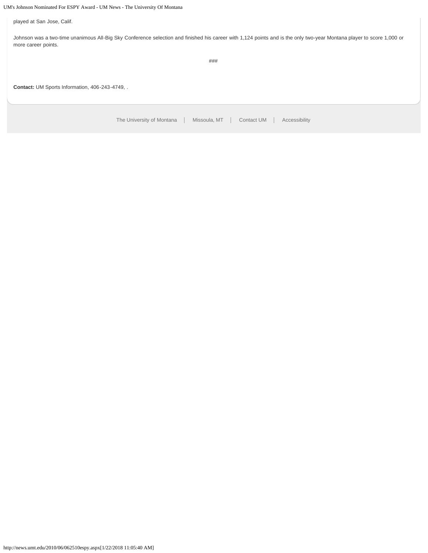# UM's Johnson Nominated For ESPY Award - UM News - The University Of Montana

played at San Jose, Calif.

Johnson was a two-time unanimous All-Big Sky Conference selection and finished his career with 1,124 points and is the only two-year Montana player to score 1,000 or more career points.

###

**Contact:** UM Sports Information, 406-243-4749, .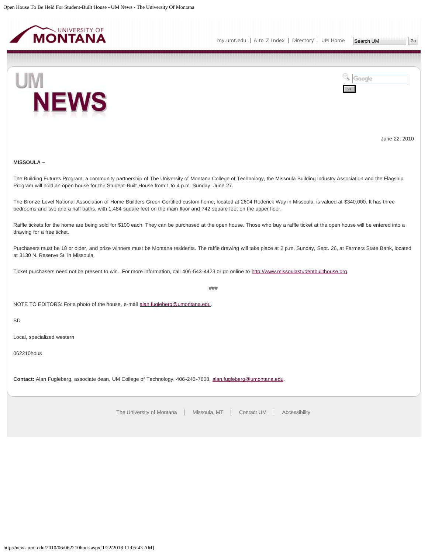<span id="page-10-0"></span>



June 22, 2010

# **MISSOULA –**

The Building Futures Program, a community partnership of The University of Montana College of Technology, the Missoula Building Industry Association and the Flagship Program will hold an open house for the Student-Built House from 1 to 4 p.m. Sunday, June 27.

The Bronze Level National Association of Home Builders Green Certified custom home, located at 2604 Roderick Way in Missoula, is valued at \$340,000. It has three bedrooms and two and a half baths, with 1,484 square feet on the main floor and 742 square feet on the upper floor.

Raffle tickets for the home are being sold for \$100 each. They can be purchased at the open house. Those who buy a raffle ticket at the open house will be entered into a drawing for a free ticket.

Purchasers must be 18 or older, and prize winners must be Montana residents. The raffle drawing will take place at 2 p.m. Sunday, Sept. 26, at Farmers State Bank, located at 3130 N. Reserve St. in Missoula.

Ticket purchasers need not be present to win. For more information, call 406-543-4423 or go online to [http://www.missoulastudentbuilthouse.org.](http://www.missoulastudentbuilthouse.org/)

###

NOTE TO EDITORS: For a photo of the house, e-mail [alan.fugleberg@umontana.edu.](mailto:alan.fugleberg@umontana.edu)

BD

Local, specialized western

062210hous

**Contact:** Alan Fugleberg, associate dean, UM College of Technology, 406-243-7608, [alan.fugleberg@umontana.edu.](mailto:alan.fugleberg@umontana.edu)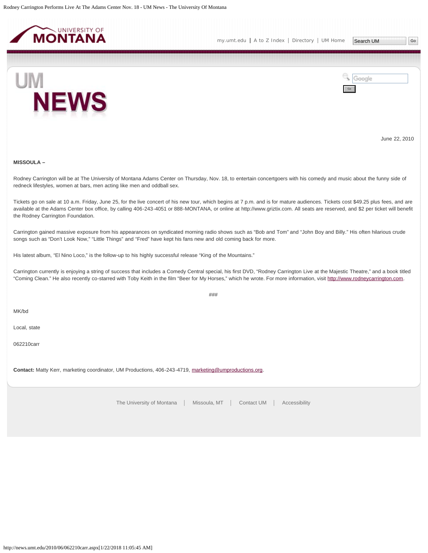<span id="page-11-0"></span>



June 22, 2010

#### **MISSOULA –**

Rodney Carrington will be at The University of Montana Adams Center on Thursday, Nov. 18, to entertain concertgoers with his comedy and music about the funny side of redneck lifestyles, women at bars, men acting like men and oddball sex.

Tickets go on sale at 10 a.m. Friday, June 25, for the live concert of his new tour, which begins at 7 p.m. and is for mature audiences. Tickets cost \$49.25 plus fees, and are available at the Adams Center box office, by calling 406-243-4051 or 888-MONTANA, or online at http://www.griztix.com. All seats are reserved, and \$2 per ticket will benefit the Rodney Carrington Foundation.

Carrington gained massive exposure from his appearances on syndicated morning radio shows such as "Bob and Tom" and "John Boy and Billy." His often hilarious crude songs such as "Don't Look Now," "Little Things" and "Fred" have kept his fans new and old coming back for more.

His latest album, "El Nino Loco," is the follow-up to his highly successful release "King of the Mountains."

Carrington currently is enjoying a string of success that includes a Comedy Central special, his first DVD, "Rodney Carrington Live at the Majestic Theatre," and a book titled "Coming Clean." He also recently co-starred with Toby Keith in the film "Beer for My Horses," which he wrote. For more information, visit [http://www.rodneycarrington.com](http://www.rodneycarrington.com/).

###

MK/bd

Local, state

062210carr

**Contact:** Matty Kerr, marketing coordinator, UM Productions, 406-243-4719, [marketing@umproductions.org](mailto:marketing@umproductions.org).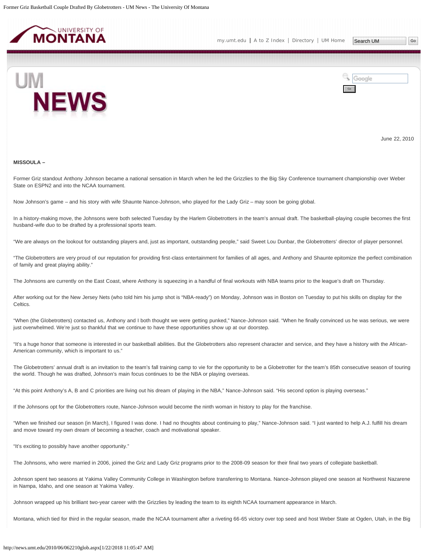<span id="page-12-0"></span>

[my.umt.edu](http://my.umt.edu/) | [A to Z Index](http://www.umt.edu/search/atoz/) | [Directory](http://www.umt.edu/directory/) | [UM Home](http://www.umt.edu/)



Google Go

June 22, 2010

#### **MISSOULA –**

Former Griz standout Anthony Johnson became a national sensation in March when he led the Grizzlies to the Big Sky Conference tournament championship over Weber State on ESPN2 and into the NCAA tournament.

Now Johnson's game – and his story with wife Shaunte Nance-Johnson, who played for the Lady Griz – may soon be going global.

In a history-making move, the Johnsons were both selected Tuesday by the Harlem Globetrotters in the team's annual draft. The basketball-playing couple becomes the first husband-wife duo to be drafted by a professional sports team.

"We are always on the lookout for outstanding players and, just as important, outstanding people," said Sweet Lou Dunbar, the Globetrotters' director of player personnel.

"The Globetrotters are very proud of our reputation for providing first-class entertainment for families of all ages, and Anthony and Shaunte epitomize the perfect combination of family and great playing ability."

The Johnsons are currently on the East Coast, where Anthony is squeezing in a handful of final workouts with NBA teams prior to the league's draft on Thursday.

After working out for the New Jersey Nets (who told him his jump shot is "NBA-ready") on Monday, Johnson was in Boston on Tuesday to put his skills on display for the Celtics.

"When (the Globetrotters) contacted us, Anthony and I both thought we were getting punked," Nance-Johnson said. "When he finally convinced us he was serious, we were just overwhelmed. We're just so thankful that we continue to have these opportunities show up at our doorstep.

"It's a huge honor that someone is interested in our basketball abilities. But the Globetrotters also represent character and service, and they have a history with the African-American community, which is important to us."

The Globetrotters' annual draft is an invitation to the team's fall training camp to vie for the opportunity to be a Globetrotter for the team's 85th consecutive season of touring the world. Though he was drafted, Johnson's main focus continues to be the NBA or playing overseas.

"At this point Anthony's A, B and C priorities are living out his dream of playing in the NBA," Nance-Johnson said. "His second option is playing overseas."

If the Johnsons opt for the Globetrotters route, Nance-Johnson would become the ninth woman in history to play for the franchise.

"When we finished our season (in March), I figured I was done. I had no thoughts about continuing to play," Nance-Johnson said. "I just wanted to help A.J. fulfill his dream and move toward my own dream of becoming a teacher, coach and motivational speaker.

"It's exciting to possibly have another opportunity."

The Johnsons, who were married in 2006, joined the Griz and Lady Griz programs prior to the 2008-09 season for their final two years of collegiate basketball.

Johnson spent two seasons at Yakima Valley Community College in Washington before transferring to Montana. Nance-Johnson played one season at Northwest Nazarene in Nampa, Idaho, and one season at Yakima Valley.

Johnson wrapped up his brilliant two-year career with the Grizzlies by leading the team to its eighth NCAA tournament appearance in March.

Montana, which tied for third in the regular season, made the NCAA tournament after a riveting 66-65 victory over top seed and host Weber State at Ogden, Utah, in the Big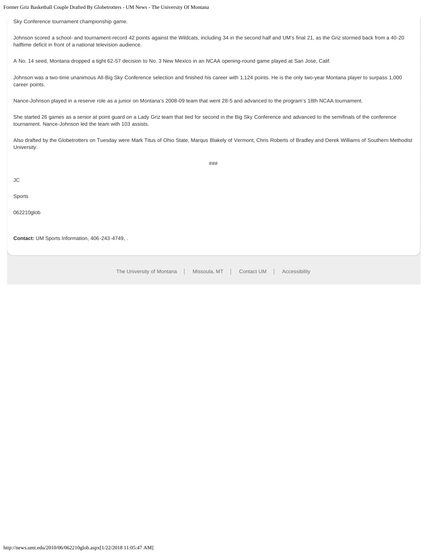Former Griz Basketball Couple Drafted By Globetrotters - UM News - The University Of Montana

Sky Conference tournament championship game.

Johnson scored a school- and tournament-record 42 points against the Wildcats, including 34 in the second half and UM's final 21, as the Griz stormed back from a 40-20 halftime deficit in front of a national television audience.

A No. 14 seed, Montana dropped a tight 62-57 decision to No. 3 New Mexico in an NCAA opening-round game played at San Jose, Calif.

Johnson was a two-time unanimous All-Big Sky Conference selection and finished his career with 1,124 points. He is the only two-year Montana player to surpass 1,000 career points.

Nance-Johnson played in a reserve role as a junior on Montana's 2008-09 team that went 28-5 and advanced to the program's 18th NCAA tournament.

She started 26 games as a senior at point guard on a Lady Griz team that tied for second in the Big Sky Conference and advanced to the semifinals of the conference tournament. Nance-Johnson led the team with 103 assists.

Also drafted by the Globetrotters on Tuesday were Mark Titus of Ohio State, Marqus Blakely of Vermont, Chris Roberts of Bradley and Derek Williams of Southern Methodist University.

###

JC

Sports

062210glob

**Contact:** UM Sports Information, 406-243-4749, .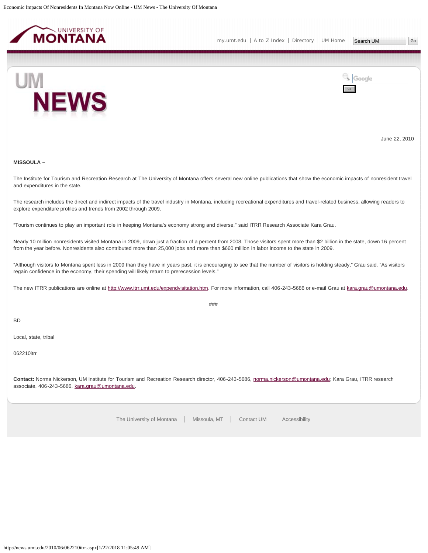<span id="page-14-0"></span>



June 22, 2010

### **MISSOULA –**

The Institute for Tourism and Recreation Research at The University of Montana offers several new online publications that show the economic impacts of nonresident travel and expenditures in the state.

The research includes the direct and indirect impacts of the travel industry in Montana, including recreational expenditures and travel-related business, allowing readers to explore expenditure profiles and trends from 2002 through 2009.

"Tourism continues to play an important role in keeping Montana's economy strong and diverse," said ITRR Research Associate Kara Grau.

Nearly 10 million nonresidents visited Montana in 2009, down just a fraction of a percent from 2008. Those visitors spent more than \$2 billion in the state, down 16 percent from the year before. Nonresidents also contributed more than 25,000 jobs and more than \$660 million in labor income to the state in 2009.

"Although visitors to Montana spent less in 2009 than they have in years past, it is encouraging to see that the number of visitors is holding steady," Grau said. "As visitors regain confidence in the economy, their spending will likely return to prerecession levels."

The new ITRR publications are online at [http://www.itrr.umt.edu/expendvisitation.htm.](http://www.itrr.umt.edu/expendvisitation.htm) For more information, call 406-243-5686 or e-mail Grau at [kara.grau@umontana.edu](mailto:kara.grau@umontana.edu).

###

BD

Local, state, tribal

062210itrr

**Contact:** Norma Nickerson, UM Institute for Tourism and Recreation Research director, 406-243-5686, [norma.nickerson@umontana.edu;](mailto:norma.nickerson@umontana.edu) Kara Grau, ITRR research associate, 406-243-5686, [kara.grau@umontana.edu](mailto:kara.grau@umontana.edu).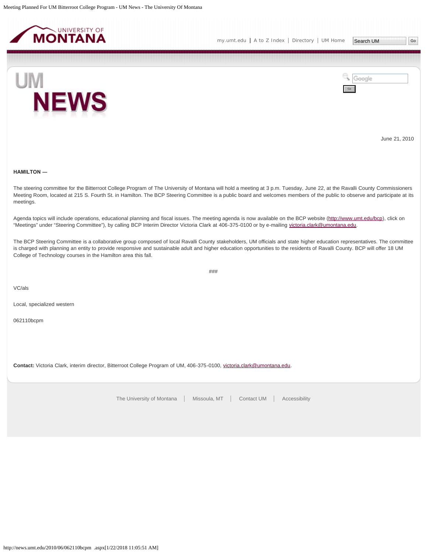<span id="page-15-0"></span>



June 21, 2010

# **HAMILTON ―**

The steering committee for the Bitterroot College Program of The University of Montana will hold a meeting at 3 p.m. Tuesday, June 22, at the Ravalli County Commissioners Meeting Room, located at 215 S. Fourth St. in Hamilton. The BCP Steering Committee is a public board and welcomes members of the public to observe and participate at its meetings.

Agenda topics will include operations, educational planning and fiscal issues. The meeting agenda is now available on the BCP website ([http://www.umt.edu/bcp\)](http://www.umt.edu/bcp), click on "Meetings" under "Steering Committee"), by calling BCP Interim Director Victoria Clark at 406-375-0100 or by e-mailing [victoria.clark@umontana.edu.](mailto:victoria.clark@umontana.edu)

The BCP Steering Committee is a collaborative group composed of local Ravalli County stakeholders, UM officials and state higher education representatives. The committee is charged with planning an entity to provide responsive and sustainable adult and higher education opportunities to the residents of Ravalli County. BCP will offer 18 UM College of Technology courses in the Hamilton area this fall.

###

VC/als

Local, specialized western

062110bcpm

Contact: Victoria Clark, interim director, Bitterroot College Program of UM, 406-375-0100, [victoria.clark@umontana.edu](mailto:victoria.clark@umontana.edu).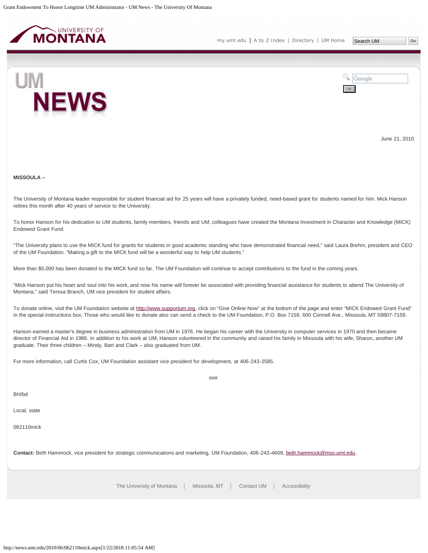<span id="page-16-0"></span>



June 21, 2010

#### **MISSOULA –**

The University of Montana leader responsible for student financial aid for 25 years will have a privately funded, need-based grant for students named for him. Mick Hanson retires this month after 40 years of service to the University.

To honor Hanson for his dedication to UM students, family members, friends and UM, colleagues have created the Montana Investment in Character and Knowledge (MICK) Endowed Grant Fund.

"The University plans to use the MICK fund for grants for students in good academic standing who have demonstrated financial need," said Laura Brehm, president and CEO of the UM Foundation. "Making a gift to the MICK fund will be a wonderful way to help UM students."

More than \$5,000 has been donated to the MICK fund so far. The UM Foundation will continue to accept contributions to the fund in the coming years.

"Mick Hanson put his heart and soul into his work, and now his name will forever be associated with providing financial assistance for students to attend The University of Montana," said Teresa Branch, UM vice president for student affairs.

To donate online, visit the UM Foundation website at [http://www.supportum.org](http://www.supportum.org/), click on "Give Online Now" at the bottom of the page and enter "MICK Endowed Grant Fund" in the special instructions box. Those who would like to donate also can send a check to the UM Foundation, P.O. Box 7159, 600 Connell Ave., Missoula, MT 59807-7159.

Hanson earned a master's degree in business administration from UM in 1976. He began his career with the University in computer services in 1970 and then became director of Financial Aid in 1986. In addition to his work at UM, Hanson volunteered in the community and raised his family in Missoula with his wife, Sharon, another UM graduate. Their three children – Mindy, Bart and Clark – also graduated from UM.

###

For more information, call Curtis Cox, UM Foundation assistant vice president for development, at 406-243-2585.

BH/bd

Local, state

062110mick

**Contact:** Beth Hammock, vice president for strategic communications and marketing, UM Foundation, 406-243-4609, [beth.hammock@mso.umt.edu](mailto:beth.hammock@mso.umt.edu).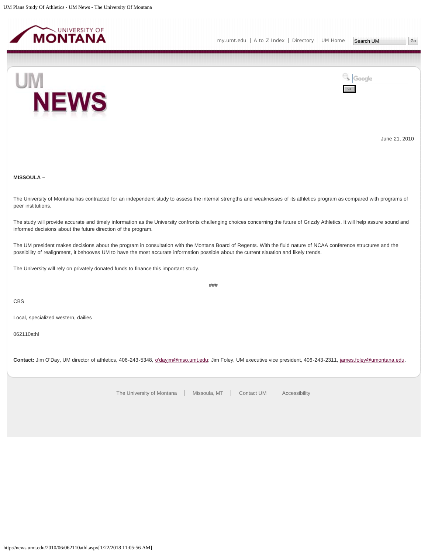<span id="page-17-0"></span>



June 21, 2010

# **MISSOULA –**

The University of Montana has contracted for an independent study to assess the internal strengths and weaknesses of its athletics program as compared with programs of peer institutions.

The study will provide accurate and timely information as the University confronts challenging choices concerning the future of Grizzly Athletics. It will help assure sound and informed decisions about the future direction of the program.

The UM president makes decisions about the program in consultation with the Montana Board of Regents. With the fluid nature of NCAA conference structures and the possibility of realignment, it behooves UM to have the most accurate information possible about the current situation and likely trends.

The University will rely on privately donated funds to finance this important study.

###

CBS

Local, specialized western, dailies

062110athl

**Contact:** Jim O'Day, UM director of athletics, 406-243-5348, [o'dayjm@mso.umt.edu;](mailto:o%E2%80%99dayjm@mso.umt.edu) Jim Foley, UM executive vice president, 406-243-2311, [james.foley@umontana.edu](mailto:james.foley@umontana.edu).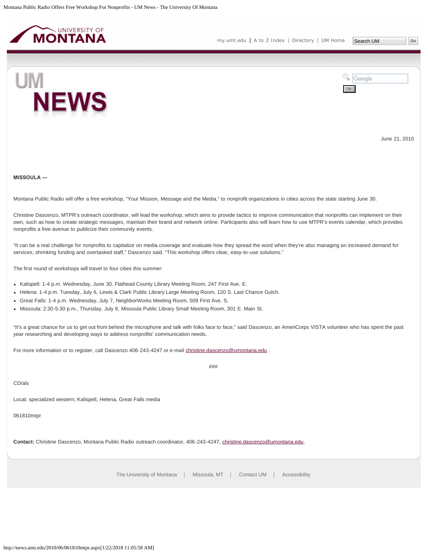<span id="page-18-0"></span>

**NEWS** 



June 21, 2010

**MISSOULA ―**

UM

Montana Public Radio will offer a free workshop, "Your Mission, Message and the Media," to nonprofit organizations in cities across the state starting June 30.

Christine Dascenzo, MTPR's outreach coordinator, will lead the workshop, which aims to provide tactics to improve communication that nonprofits can implement on their own, such as how to create strategic messages, maintain their brand and network online. Participants also will learn how to use MTPR's events calendar, which provides nonprofits a free avenue to publicize their community events.

"It can be a real challenge for nonprofits to capitalize on media coverage and evaluate how they spread the word when they're also managing an increased demand for services, shrinking funding and overtasked staff," Dascenzo said. "This workshop offers clear, easy-to-use solutions."

The first round of workshops will travel to four cities this summer:

Kalispell: 1-4 p.m. Wednesday, June 30, Flathead County Library Meeting Room, 247 First Ave. E.

- Helena: 1-4 p.m. Tuesday, July 6, Lewis & Clark Public Library Large Meeting Room, 120 S. Last Chance Gulch.
- Great Falls: 1-4 p.m. Wednesday, July 7, NeighborWorks Meeting Room, 509 First Ave. S.
- Missoula: 2:30-5:30 p.m., Thursday, July 8, Missoula Public Library Small Meeting Room, 301 E. Main St.

"It's a great chance for us to get out from behind the microphone and talk with folks face to face," said Dascenzo, an AmeriCorps VISTA volunteer who has spent the past year researching and developing ways to address nonprofits' communication needs.

###

For more information or to register, call Dascenzo 406-243-4247 or e-mail [christine.dascenzo@umontana.edu](mailto:christine.dascenzo@umontana.edu) .

CD/als

Local; specialized western; Kalispell, Helena, Great Falls media

061810mtpr

**Contact:** Christine Dascenzo, Montana Public Radio outreach coordinator, 406-243-4247, [christine.dascenzo@umontana.edu.](mailto:christine.dascenzo@umontana.edu)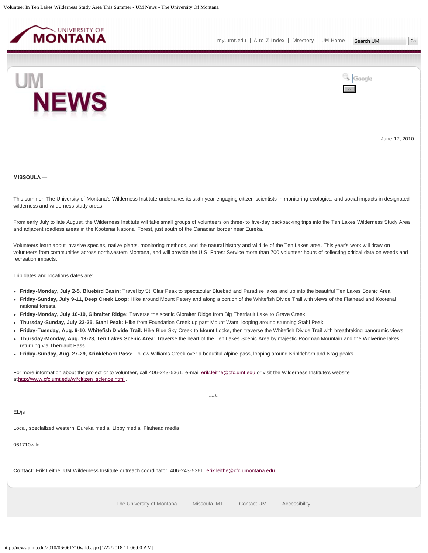<span id="page-19-0"></span>



June 17, 2010

#### **MISSOULA ―**

This summer, The University of Montana's Wilderness Institute undertakes its sixth year engaging citizen scientists in monitoring ecological and social impacts in designated wilderness and wilderness study areas.

From early July to late August, the Wilderness Institute will take small groups of volunteers on three- to five-day backpacking trips into the Ten Lakes Wilderness Study Area and adjacent roadless areas in the Kootenai National Forest, just south of the Canadian border near Eureka.

Volunteers learn about invasive species, native plants, monitoring methods, and the natural history and wildlife of the Ten Lakes area. This year's work will draw on volunteers from communities across northwestern Montana, and will provide the U.S. Forest Service more than 700 volunteer hours of collecting critical data on weeds and recreation impacts.

Trip dates and locations dates are:

- **Friday-Monday, July 2-5, Bluebird Basin:** Travel by St. Clair Peak to spectacular Bluebird and Paradise lakes and up into the beautiful Ten Lakes Scenic Area.
- **Friday-Sunday, July 9-11, Deep Creek Loop:** Hike around Mount Petery and along a portion of the Whitefish Divide Trail with views of the Flathead and Kootenai national forests.
- **Friday-Monday, July 16-19, Gibralter Ridge:** Traverse the scenic Gibralter Ridge from Big Therriault Lake to Grave Creek.
- **Thursday-Sunday, July 22-25, Stahl Peak:** Hike from Foundation Creek up past Mount Wam, looping around stunning Stahl Peak.
- **Friday-Tuesday, Aug. 6-10, Whitefish Divide Trail:** Hike Blue Sky Creek to Mount Locke, then traverse the Whitefish Divide Trail with breathtaking panoramic views.
- **Thursday-Monday, Aug. 19-23, Ten Lakes Scenic Area:** Traverse the heart of the Ten Lakes Scenic Area by majestic Poorman Mountain and the Wolverine lakes, returning via Therriault Pass.
- **Friday-Sunday, Aug. 27-29, Krinklehorn Pass:** Follow Williams Creek over a beautiful alpine pass, looping around Krinklehorn and Krag peaks.

For more information about the project or to volunteer, call 406-243-5361, e-mail [erik.leithe@cfc.umt.edu](mailto:erik.leithe@cfc.umt.edu) or visit the Wilderness Institute's website at[http://www.cfc.umt.edu/wi/citizen\\_science.html](http://www.cfc.umt.edu/wi/citizen_science.html) .

EL/js

###

Local, specialized western, Eureka media, Libby media, Flathead media

061710wild

**Contact:** Erik Leithe, UM Wilderness Institute outreach coordinator, 406-243-5361, [erik.leithe@cfc.umontana.edu](mailto:erik.leithe@cfc.umontana.edu).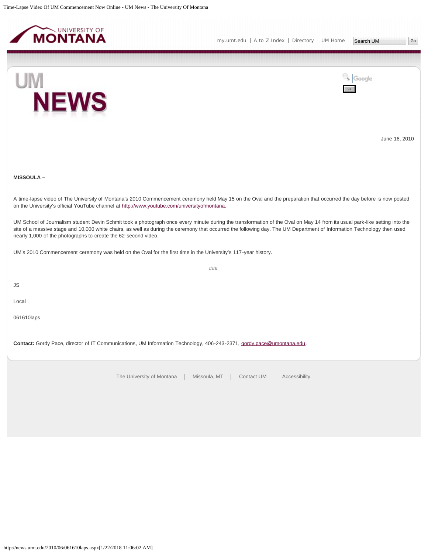<span id="page-20-0"></span>

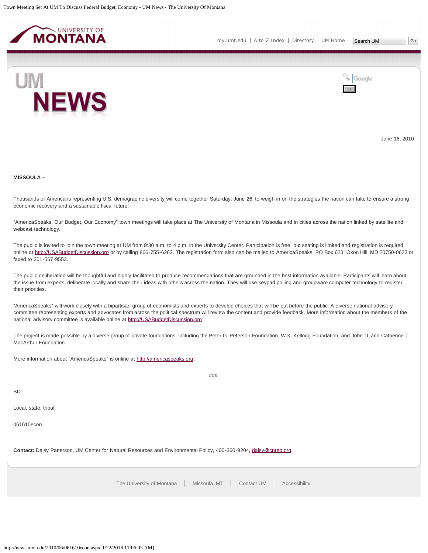<span id="page-21-0"></span>



June 16, 2010

**MISSOULA –**

Thousands of Americans representing U.S. demographic diversity will come together Saturday, June 26, to weigh in on the strategies the nation can take to ensure a strong economic recovery and a sustainable fiscal future.

"AmericaSpeaks: Our Budget, Our Economy" town meetings will take place at The University of Montana in Missoula and in cities across the nation linked by satellite and webcast technology.

The public is invited to join the town meeting at UM from 9:30 a.m. to 4 p.m. in the University Center. Participation is free, but seating is limited and registration is required online at [http://USABudgetDiscussion.org](http://usabudgetdiscussion.org/) or by calling 866-755-6263. The registration form also can be mailed to AmericaSpeaks, PO Box 623, Oxon Hill, MD 20750-0623 or faxed to 301-567-9553.

The public deliberation will be thoughtful and highly facilitated to produce recommendations that are grounded in the best information available. Participants will learn about the issue from experts, deliberate locally and share their ideas with others across the nation. They will use keypad polling and groupware computer technology to register their priorities.

"AmericaSpeaks" will work closely with a bipartisan group of economists and experts to develop choices that will be put before the public. A diverse national advisory committee representing experts and advocates from across the political spectrum will review the content and provide feedback. More information about the members of the national advisory committee is available online at [http://USABudgetDiscussion.org](http://usabudgetdiscussion.org/).

The project is made possible by a diverse group of private foundations, including the Peter G. Peterson Foundation, W.K. Kellogg Foundation, and John D. and Catherine T. MacArthur Foundation.

###

More information about "AmericaSpeaks" is online at [http://americaspeaks.org.](http://americaspeaks.org/)

BD

Local, state, tribal

061610econ

**Contact:** Daisy Patterson, UM Center for Natural Resources and Environmental Policy, 406-360-9204, [daisy@cnrep.org.](mailto:daisy@cnrep.org)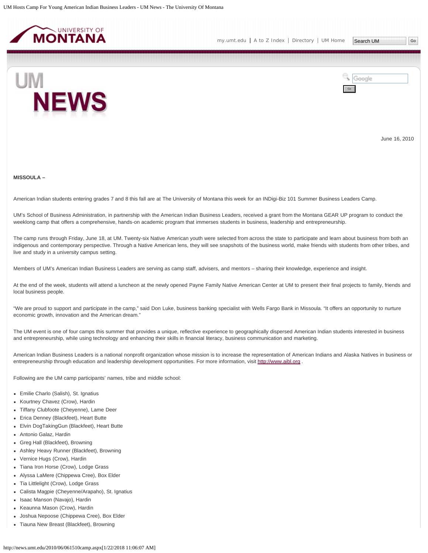<span id="page-22-0"></span>



June 16, 2010

# **MISSOULA –**

American Indian students entering grades 7 and 8 this fall are at The University of Montana this week for an INDigi-Biz 101 Summer Business Leaders Camp.

UM's School of Business Administration, in partnership with the American Indian Business Leaders, received a grant from the Montana GEAR UP program to conduct the weeklong camp that offers a comprehensive, hands-on academic program that immerses students in business, leadership and entrepreneurship.

The camp runs through Friday, June 18, at UM. Twenty-six Native American youth were selected from across the state to participate and learn about business from both an indigenous and contemporary perspective. Through a Native American lens, they will see snapshots of the business world, make friends with students from other tribes, and live and study in a university campus setting.

Members of UM's American Indian Business Leaders are serving as camp staff, advisers, and mentors – sharing their knowledge, experience and insight.

At the end of the week, students will attend a luncheon at the newly opened Payne Family Native American Center at UM to present their final projects to family, friends and local business people.

"We are proud to support and participate in the camp," said Don Luke, business banking specialist with Wells Fargo Bank in Missoula. "It offers an opportunity to nurture economic growth, innovation and the American dream."

The UM event is one of four camps this summer that provides a unique, reflective experience to geographically dispersed American Indian students interested in business and entrepreneurship, while using technology and enhancing their skills in financial literacy, business communication and marketing.

American Indian Business Leaders is a national nonprofit organization whose mission is to increase the representation of American Indians and Alaska Natives in business or entrepreneurship through education and leadership development opportunities. For more information, visit [http://www.aibl.org](http://www.aibl.org/) .

Following are the UM camp participants' names, tribe and middle school:

- Emilie Charlo (Salish), St. Ignatius
- Kourtney Chavez (Crow), Hardin
- Tiffany Clubfoote (Cheyenne), Lame Deer
- Erica Denney (Blackfeet), Heart Butte
- Elvin DogTakingGun (Blackfeet), Heart Butte
- Antonio Galaz, Hardin
- Greg Hall (Blackfeet), Browning
- Ashley Heavy Runner (Blackfeet), Browning
- Vernice Hugs (Crow), Hardin
- Tiana Iron Horse (Crow), Lodge Grass
- Alyssa LaMere (Chippewa Cree), Box Elder
- Tia Littlelight (Crow), Lodge Grass
- Calista Magpie (Cheyenne/Arapaho), St. Ignatius
- Isaac Manson (Navajo), Hardin
- Keaunna Mason (Crow), Hardin
- Joshua Nepoose (Chippewa Cree), Box Elder
- Tiauna New Breast (Blackfeet), Browning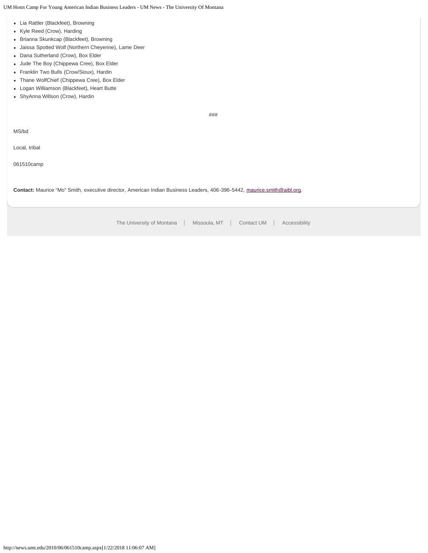UM Hosts Camp For Young American Indian Business Leaders - UM News - The University Of Montana

- Lia Rattler (Blackfeet), Browning
- Kyle Reed (Crow), Harding
- Brianna Skunkcap (Blackfeet), Browning
- Jaissa Spotted Wolf (Northern Cheyenne), Lame Deer
- Dana Sutherland (Crow), Box Elder
- Jude The Boy (Chippewa Cree), Box Elder
- Franklin Two Bulls (Crow/Sioux), Hardin
- Thane WolfChief (Chippewa Cree), Box Elder
- Logan Williamson (Blackfeet), Heart Butte
- ShyAnna Willson (Crow), Hardin

###

MS/bd

Local, tribal

061510camp

**Contact:** Maurice "Mo" Smith, executive director, American Indian Business Leaders, 406-396-5442, [maurice.smith@aibl.org](mailto:maurice.smith@aibl.org).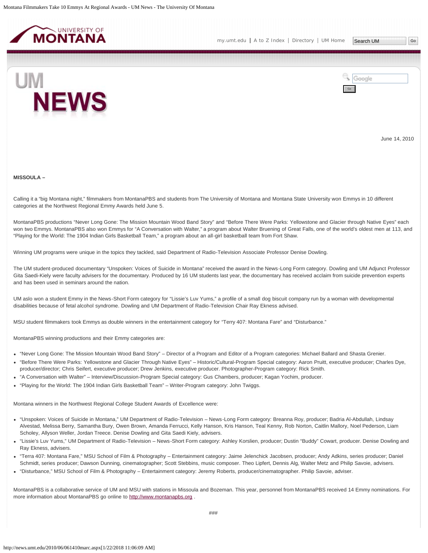<span id="page-24-0"></span>



June 14, 2010

#### **MISSOULA –**

Calling it a "big Montana night," filmmakers from MontanaPBS and students from The University of Montana and Montana State University won Emmys in 10 different categories at the Northwest Regional Emmy Awards held June 5.

MontanaPBS productions "Never Long Gone: The Mission Mountain Wood Band Story" and "Before There Were Parks: Yellowstone and Glacier through Native Eyes" each won two Emmys. MontanaPBS also won Emmys for "A Conversation with Walter," a program about Walter Bruening of Great Falls, one of the world's oldest men at 113, and "Playing for the World: The 1904 Indian Girls Basketball Team," a program about an all-girl basketball team from Fort Shaw.

Winning UM programs were unique in the topics they tackled, said Department of Radio-Television Associate Professor Denise Dowling.

The UM student-produced documentary "Unspoken: Voices of Suicide in Montana" received the award in the News-Long Form category. Dowling and UM Adjunct Professor Gita Saedi-Kiely were faculty advisers for the documentary. Produced by 16 UM students last year, the documentary has received acclaim from suicide prevention experts and has been used in seminars around the nation.

UM aslo won a student Emmy in the News-Short Form category for "Lissie's Luv Yums," a profile of a small dog biscuit company run by a woman with developmental disabilities because of fetal alcohol syndrome. Dowling and UM Department of Radio-Television Chair Ray Ekness advised.

MSU student filmmakers took Emmys as double winners in the entertainment category for "Terry 407: Montana Fare" and "Disturbance."

MontanaPBS winning productions and their Emmy categories are:

- "Never Long Gone: The Mission Mountain Wood Band Story" Director of a Program and Editor of a Program categories: Michael Ballard and Shasta Grenier.
- "Before There Were Parks: Yellowstone and Glacier Through Native Eyes" Historic/Cultural-Program Special category: Aaron Pruitt, executive producer; Charles Dye, producer/director; Chris Seifert, executive producer; Drew Jenkins, executive producer. Photographer-Program category: Rick Smith.
- "A Conversation with Walter" Interview/Discussion-Program Special category: Gus Chambers, producer; Kagan Yochim, producer.
- "Playing for the World: The 1904 Indian Girls Basketball Team" Writer-Program category: John Twiggs.

Montana winners in the Northwest Regional College Student Awards of Excellence were:

- "Unspoken: Voices of Suicide in Montana," UM Department of Radio-Television News-Long Form category: Breanna Roy, producer; Badria Al-Abdullah, Lindsay Alvestad, Melissa Berry, Samantha Bury, Owen Brown, Amanda Ferrucci, Kelly Hanson, Kris Hanson, Teal Kenny, Rob Norton, Caitlin Mallory, Noel Pederson, Liam Scholey, Allyson Weller, Jordan Treece. Denise Dowling and Gita Saedi Kiely, advisers.
- "Lissie's Luv Yums," UM Department of Radio-Television News-Short Form category: Ashley Korslien, producer; Dustin "Buddy" Cowart, producer. Denise Dowling and Ray Ekness, advisers.
- "Terra 407: Montana Fare," MSU School of Film & Photography Entertainment category: Jaime Jelenchick Jacobsen, producer; Andy Adkins, series producer; Daniel Schmidt, series producer; Dawson Dunning, cinematographer; Scott Stebbins, music composer. Theo Lipfert, Dennis Alg, Walter Metz and Philip Savoie, advisers.
- "Disturbance," MSU School of Film & Photography Entertainment category: Jeremy Roberts, producer/cinematographer. Philip Savoie, adviser.

MontanaPBS is a collaborative service of UM and MSU with stations in Missoula and Bozeman. This year, personnel from MontanaPBS received 14 Emmy nominations. For more information about MontanaPBS go online to [http://www.montanapbs.org](http://www.montanapbs.org/) .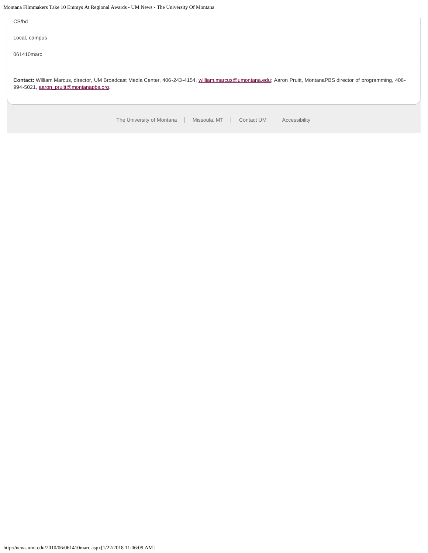Montana Filmmakers Take 10 Emmys At Regional Awards - UM News - The University Of Montana

CS/bd

Local, campus

061410marc

**Contact:** William Marcus, director, UM Broadcast Media Center, 406-243-4154, [william.marcus@umontana.edu;](mailto:william.marcus@umontana.edu) Aaron Pruitt, MontanaPBS director of programming, 406 994-5021, [aaron\\_pruitt@montanapbs.org](mailto:aaron_pruitt@montanapbs.org).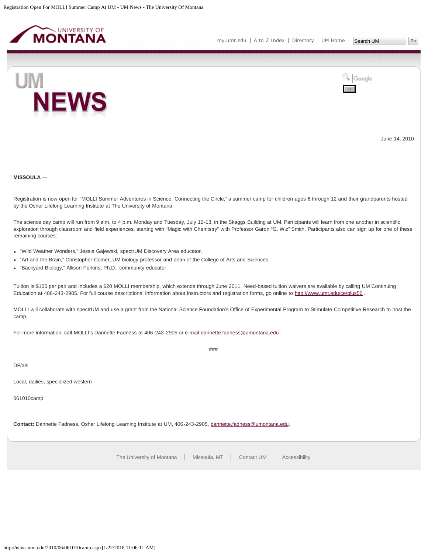<span id="page-26-0"></span>



June 14, 2010

**MISSOULA ―**

UM

Registration is now open for "MOLLI Summer Adventures in Science: Connecting the Circle," a summer camp for children ages 6 through 12 and their grandparents hosted by the Osher Lifelong Learning Institute at The University of Montana.

The science day camp will run from 9 a.m. to 4 p.m. Monday and Tuesday, July 12-13, in the Skaggs Building at UM. Participants will learn from one another in scientific exploration through classroom and field experiences, starting with "Magic with Chemistry" with Professor Garon "G. Wiz" Smith. Participants also can sign up for one of these remaining courses:

- "Wild Weather Wonders," Jessie Gajewski, spectrUM Discovery Area educator.
- "Art and the Brain," Christopher Comer, UM biology professor and dean of the College of Arts and Sciences.
- "Backyard Biology," Allison Perkins, Ph.D., community educator.

Tuition is \$100 per pair and includes a \$20 MOLLI membership, which extends through June 2011. Need-based tuition waivers are available by calling UM Continuing Education at 406-243-2905. For full course descriptions, information about instructors and registration forms, go online to <http://www.umt.edu/ce/plus50> .

MOLLI will collaborate with spectrUM and use a grant from the National Science Foundation's Office of Experimental Program to Stimulate Competitive Research to host the camp.

###

For more information, call MOLLI's Dannette Fadness at 406-243-2905 or e-mail [dannette.fadness@umontana.edu](mailto:dannette.fadness@umontana.edu) .

DF/als

Local, dailies, specialized western

061010camp

**Contact:** Dannette Fadness, Osher Lifelong Learning Institute at UM, 406-243-2905, [dannette.fadness@umontana.edu.](mailto:dannette.fadness@umontana.edu)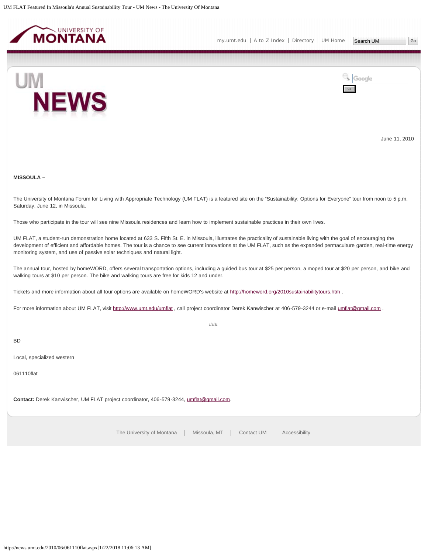<span id="page-27-0"></span>



June 11, 2010

# **MISSOULA –**

The University of Montana Forum for Living with Appropriate Technology (UM FLAT) is a featured site on the "Sustainability: Options for Everyone" tour from noon to 5 p.m. Saturday, June 12, in Missoula.

Those who participate in the tour will see nine Missoula residences and learn how to implement sustainable practices in their own lives.

UM FLAT, a student-run demonstration home located at 633 S. Fifth St. E. in Missoula, illustrates the practicality of sustainable living with the goal of encouraging the development of efficient and affordable homes. The tour is a chance to see current innovations at the UM FLAT, such as the expanded permaculture garden, real-time energy monitoring system, and use of passive solar techniques and natural light.

The annual tour, hosted by homeWORD, offers several transportation options, including a guided bus tour at \$25 per person, a moped tour at \$20 per person, and bike and walking tours at \$10 per person. The bike and walking tours are free for kids 12 and under.

Tickets and more information about all tour options are available on homeWORD's website at <http://homeword.org/2010sustainabilitytours.htm> .

For more information about UM FLAT, visit <http://www.umt.edu/umflat>, call project coordinator Derek Kanwischer at 406-579-3244 or e-mail [umflat@gmail.com](mailto:umflat@gmail.com) .

###

BD

Local, specialized western

061110flat

**Contact:** Derek Kanwischer, UM FLAT project coordinator, 406-579-3244, [umflat@gmail.com.](mailto:umflat@gmail.com)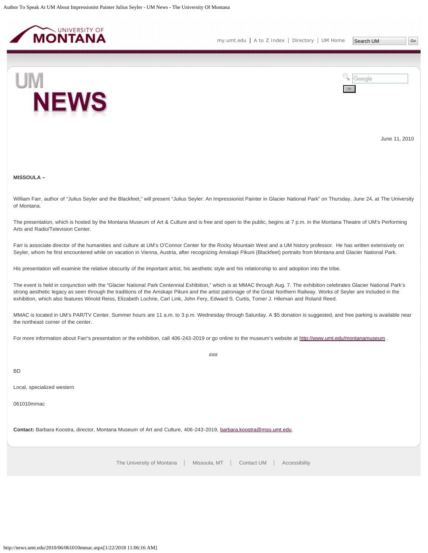<span id="page-28-0"></span>



June 11, 2010

**MISSOULA –**

William Farr, author of "Julius Seyler and the Blackfeet," will present "Julius Seyler: An Impressionist Painter in Glacier National Park" on Thursday, June 24, at The University of Montana.

The presentation, which is hosted by the Montana Museum of Art & Culture and is free and open to the public, begins at 7 p.m. in the Montana Theatre of UM's Performing Arts and Radio/Television Center.

Farr is associate director of the humanities and culture at UM's O'Connor Center for the Rocky Mountain West and a UM history professor. He has written extensively on Seyler, whom he first encountered while on vacation in Vienna, Austria, after recognizing Amskapi Pikuni (Blackfeet) portraits from Montana and Glacier National Park.

His presentation will examine the relative obscurity of the important artist, his aesthetic style and his relationship to and adoption into the tribe.

The event is held in conjunction with the "Glacier National Park Centennial Exhibition," which is at MMAC through Aug. 7. The exhibition celebrates Glacier National Park's strong aesthetic legacy as seen through the traditions of the Amskapi Pikuni and the artist patronage of the Great Northern Railway. Works of Seyler are included in the exhibition, which also features Winold Reiss, Elizabeth Lochrie, Carl Link, John Fery, Edward S. Curtis, Tomer J. Hileman and Roland Reed.

MMAC is located in UM's PAR/TV Center. Summer hours are 11 a.m. to 3 p.m. Wednesday through Saturday. A \$5 donation is suggested, and free parking is available near the northeast corner of the center.

###

For more information about Farr's presentation or the exhibition, call 406-243-2019 or go online to the museum's website at <http://www.umt.edu/montanamuseum> .

BD

Local, specialized western

061010mmac

**Contact:** Barbara Koostra, director, Montana Museum of Art and Culture, 406-243-2019, [barbara.koostra@mso.umt.edu](mailto:barbara.koostra@mso.umt.edu).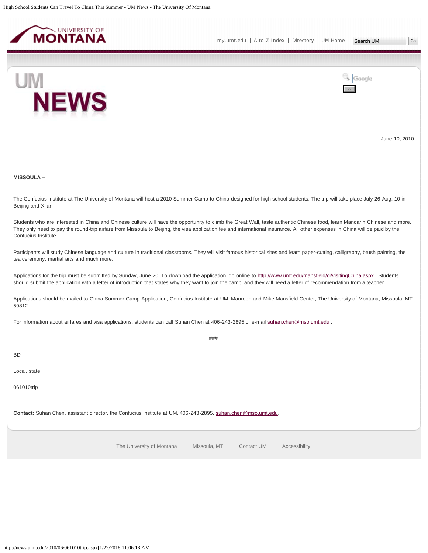<span id="page-29-0"></span>

Go

Google





June 10, 2010

**MISSOULA –**

The Confucius Institute at The University of Montana will host a 2010 Summer Camp to China designed for high school students. The trip will take place July 26-Aug. 10 in Beijing and Xi'an.

Students who are interested in China and Chinese culture will have the opportunity to climb the Great Wall, taste authentic Chinese food, learn Mandarin Chinese and more. They only need to pay the round-trip airfare from Missoula to Beijing, the visa application fee and international insurance. All other expenses in China will be paid by the Confucius Institute.

Participants will study Chinese language and culture in traditional classrooms. They will visit famous historical sites and learn paper-cutting, calligraphy, brush painting, the tea ceremony, martial arts and much more.

Applications for the trip must be submitted by Sunday, June 20. To download the application, go online to <http://www.umt.edu/mansfield/ci/visitingChina.aspx> . Students should submit the application with a letter of introduction that states why they want to join the camp, and they will need a letter of recommendation from a teacher.

Applications should be mailed to China Summer Camp Application, Confucius Institute at UM, Maureen and Mike Mansfield Center, The University of Montana, Missoula, MT 59812.

###

For information about airfares and visa applications, students can call Suhan Chen at 406-243-2895 or e-mail [suhan.chen@mso.umt.edu](mailto:suhan.chen@mso.umt.edu) .

BD

Local, state

061010trip

**Contact:** Suhan Chen, assistant director, the Confucius Institute at UM, 406-243-2895, [suhan.chen@mso.umt.edu.](mailto:suhan.chen@mso.umt.edu)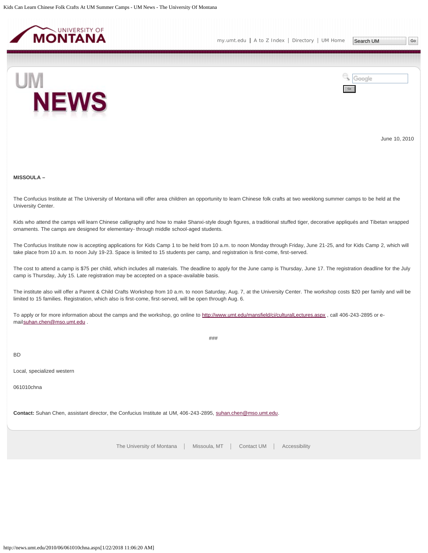<span id="page-30-0"></span>



June 10, 2010

# **MISSOULA –**

The Confucius Institute at The University of Montana will offer area children an opportunity to learn Chinese folk crafts at two weeklong summer camps to be held at the University Center.

Kids who attend the camps will learn Chinese calligraphy and how to make Shanxi-style dough figures, a traditional stuffed tiger, decorative appliqués and Tibetan wrapped ornaments. The camps are designed for elementary- through middle school-aged students.

The Confucius Institute now is accepting applications for Kids Camp 1 to be held from 10 a.m. to noon Monday through Friday, June 21-25, and for Kids Camp 2, which will take place from 10 a.m. to noon July 19-23. Space is limited to 15 students per camp, and registration is first-come, first-served.

The cost to attend a camp is \$75 per child, which includes all materials. The deadline to apply for the June camp is Thursday, June 17. The registration deadline for the July camp is Thursday, July 15. Late registration may be accepted on a space-available basis.

The institute also will offer a Parent & Child Crafts Workshop from 10 a.m. to noon Saturday, Aug. 7, at the University Center. The workshop costs \$20 per family and will be limited to 15 families. Registration, which also is first-come, first-served, will be open through Aug. 6.

###

To apply or for more information about the camps and the workshop, go online to <http://www.umt.edu/mansfield/ci/culturalLectures.aspx>, call 406-243-2895 or email[suhan.chen@mso.umt.edu](mailto:suhan.chen@mso.umt.edu) .

BD

Local, specialized western

061010chna

**Contact:** Suhan Chen, assistant director, the Confucius Institute at UM, 406-243-2895, [suhan.chen@mso.umt.edu.](mailto:suhan.chen@mso.umt.edu)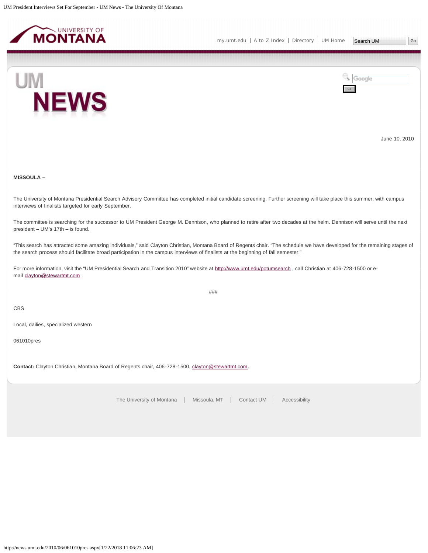<span id="page-31-0"></span>



June 10, 2010

**MISSOULA –**

The University of Montana Presidential Search Advisory Committee has completed initial candidate screening. Further screening will take place this summer, with campus interviews of finalists targeted for early September.

The committee is searching for the successor to UM President George M. Dennison, who planned to retire after two decades at the helm. Dennison will serve until the next president – UM's 17th – is found.

"This search has attracted some amazing individuals," said Clayton Christian, Montana Board of Regents chair. "The schedule we have developed for the remaining stages of the search process should facilitate broad participation in the campus interviews of finalists at the beginning of fall semester."

###

For more information, visit the "UM Presidential Search and Transition 2010" website at <http://www.umt.edu/potumsearch> , call Christian at 406-728-1500 or email [clayton@stewartmt.com](mailto:clayton@stewartmt.com) .

CBS

Local, dailies, specialized western

061010pres

Contact: Clayton Christian, Montana Board of Regents chair, 406-728-1500, [clayton@stewartmt.com.](mailto:clayton@stewartmt.com)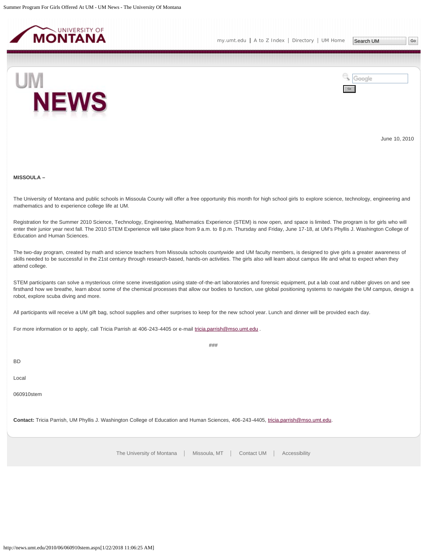<span id="page-32-0"></span>



June 10, 2010

**MISSOULA –**

The University of Montana and public schools in Missoula County will offer a free opportunity this month for high school girls to explore science, technology, engineering and mathematics and to experience college life at UM.

Registration for the Summer 2010 Science, Technology, Engineering, Mathematics Experience (STEM) is now open, and space is limited. The program is for girls who will enter their junior year next fall. The 2010 STEM Experience will take place from 9 a.m. to 8 p.m. Thursday and Friday, June 17-18, at UM's Phyllis J. Washington College of Education and Human Sciences.

The two-day program, created by math and science teachers from Missoula schools countywide and UM faculty members, is designed to give girls a greater awareness of skills needed to be successful in the 21st century through research-based, hands-on activities. The girls also will learn about campus life and what to expect when they attend college.

STEM participants can solve a mysterious crime scene investigation using state-of-the-art laboratories and forensic equipment, put a lab coat and rubber gloves on and see firsthand how we breathe, learn about some of the chemical processes that allow our bodies to function, use global positioning systems to navigate the UM campus, design a robot, explore scuba diving and more.

###

All participants will receive a UM gift bag, school supplies and other surprises to keep for the new school year. Lunch and dinner will be provided each day.

For more information or to apply, call Tricia Parrish at 406-243-4405 or e-mail [tricia.parrish@mso.umt.edu](mailto:tricia.parrish@mso.umt.edu) .

BD

Local

060910stem

**Contact:** Tricia Parrish, UM Phyllis J. Washington College of Education and Human Sciences, 406-243-4405, [tricia.parrish@mso.umt.edu.](mailto:tricia.parrish@mso.umt.edu)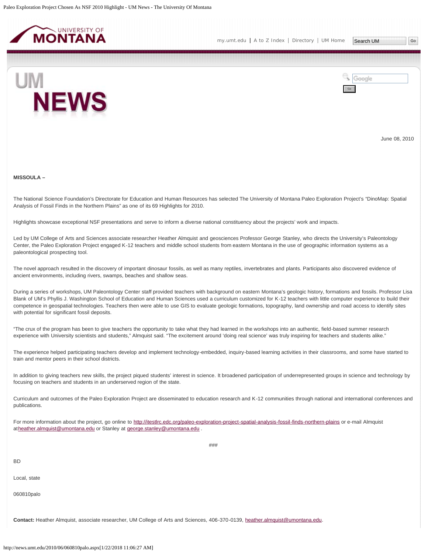<span id="page-33-0"></span>



June 08, 2010

#### **MISSOULA –**

The National Science Foundation's Directorate for Education and Human Resources has selected The University of Montana Paleo Exploration Project's "DinoMap: Spatial Analysis of Fossil Finds in the Northern Plains" as one of its 69 Highlights for 2010.

Highlights showcase exceptional NSF presentations and serve to inform a diverse national constituency about the projects' work and impacts.

Led by UM College of Arts and Sciences associate researcher Heather Almquist and geosciences Professor George Stanley, who directs the University's Paleontology Center, the Paleo Exploration Project engaged K-12 teachers and middle school students from eastern Montana in the use of geographic information systems as a paleontological prospecting tool.

The novel approach resulted in the discovery of important dinosaur fossils, as well as many reptiles, invertebrates and plants. Participants also discovered evidence of ancient environments, including rivers, swamps, beaches and shallow seas.

During a series of workshops, UM Paleontology Center staff provided teachers with background on eastern Montana's geologic history, formations and fossils. Professor Lisa Blank of UM's Phyllis J. Washington School of Education and Human Sciences used a curriculum customized for K-12 teachers with little computer experience to build their competence in geospatial technologies. Teachers then were able to use GIS to evaluate geologic formations, topography, land ownership and road access to identify sites with potential for significant fossil deposits.

"The crux of the program has been to give teachers the opportunity to take what they had learned in the workshops into an authentic, field-based summer research experience with University scientists and students," Almquist said. "The excitement around 'doing real science' was truly inspiring for teachers and students alike."

The experience helped participating teachers develop and implement technology-embedded, inquiry-based learning activities in their classrooms, and some have started to train and mentor peers in their school districts.

In addition to giving teachers new skills, the project piqued students' interest in science. It broadened participation of underrepresented groups in science and technology by focusing on teachers and students in an underserved region of the state.

Curriculum and outcomes of the Paleo Exploration Project are disseminated to education research and K-12 communities through national and international conferences and publications.

###

For more information about the project, go online to <http://itestlrc.edc.org/paleo-exploration-project-spatial-analysis-fossil-finds-northern-plains> or e-mail Almquist at[heather.almquist@umontana.edu](mailto:heather.almquist@umontana.edu) or Stanley at [george.stanley@umontana.edu](mailto:george.stanley@umontana.edu) .

BD

Local, state

060810palo

**Contact:** Heather Almquist, associate researcher, UM College of Arts and Sciences, 406-370-0139, [heather.almquist@umontana.edu.](mailto:heather.almquist@umontana.edu)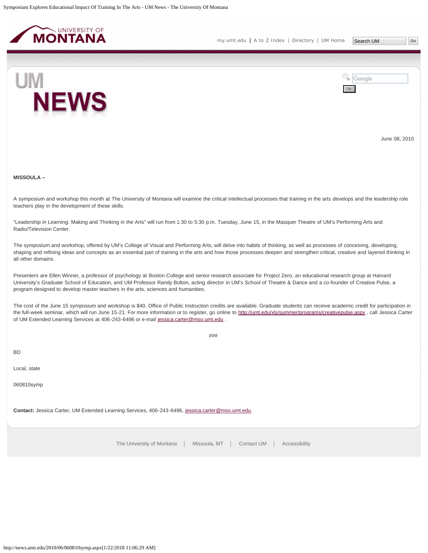<span id="page-35-0"></span>



June 08, 2010

**MISSOULA –**

A symposium and workshop this month at The University of Montana will examine the critical intellectual processes that training in the arts develops and the leadership role teachers play in the development of these skills.

"Leadership in Learning: Making and Thinking in the Arts" will run from 1:30 to 5:30 p.m. Tuesday, June 15, in the Masquer Theatre of UM's Performing Arts and Radio/Television Center.

The symposium and workshop, offered by UM's College of Visual and Performing Arts, will delve into habits of thinking, as well as processes of conceiving, developing, shaping and refining ideas and concepts as an essential part of training in the arts and how those processes deepen and strengthen critical, creative and layered thinking in all other domains.

Presenters are Ellen Winner, a professor of psychology at Boston College and senior research associate for Project Zero, an educational research group at Harvard University's Graduate School of Education, and UM Professor Randy Bolton, acting director in UM's School of Theatre & Dance and a co-founder of Creative Pulse, a program designed to develop master teachers in the arts, sciences and humanities.

The cost of the June 15 symposium and workshop is \$40. Office of Public Instruction credits are available. Graduate students can receive academic credit for participation in the full-week seminar, which will run June 15-21. For more information or to register, go online to <http://umt.edu/xls/summer/programs/creativepulse.aspx>, call Jessica Carter of UM Extended Learning Services at 406-243-6496 or e-mail [jessica.carter@mso.umt.edu](mailto:jessica.carter@mso.umt.edu) .

###

BD

Local, state

060810symp

**Contact:** Jessica Carter, UM Extended Learning Services, 406-243-6496, [jessica.carter@mso.umt.edu](mailto:jessica.carter@mso.umt.edu).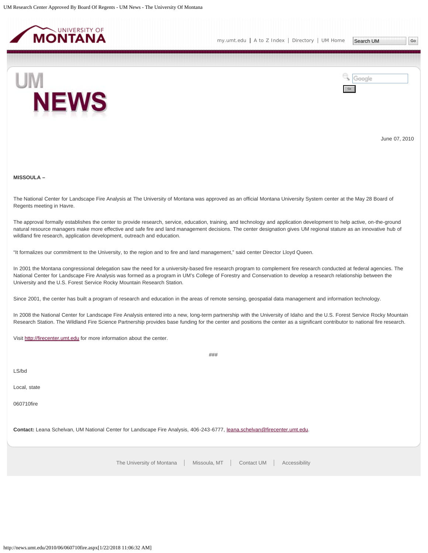<span id="page-36-0"></span>



June 07, 2010

# **MISSOULA –**

The National Center for Landscape Fire Analysis at The University of Montana was approved as an official Montana University System center at the May 28 Board of Regents meeting in Havre.

The approval formally establishes the center to provide research, service, education, training, and technology and application development to help active, on-the-ground natural resource managers make more effective and safe fire and land management decisions. The center designation gives UM regional stature as an innovative hub of wildland fire research, application development, outreach and education.

"It formalizes our commitment to the University, to the region and to fire and land management," said center Director Lloyd Queen.

In 2001 the Montana congressional delegation saw the need for a university-based fire research program to complement fire research conducted at federal agencies. The National Center for Landscape Fire Analysis was formed as a program in UM's College of Forestry and Conservation to develop a research relationship between the University and the U.S. Forest Service Rocky Mountain Research Station.

Since 2001, the center has built a program of research and education in the areas of remote sensing, geospatial data management and information technology.

In 2008 the National Center for Landscape Fire Analysis entered into a new, long-term partnership with the University of Idaho and the U.S. Forest Service Rocky Mountain Research Station. The Wildland Fire Science Partnership provides base funding for the center and positions the center as a significant contributor to national fire research.

###

Visit [http://firecenter.umt.edu](http://firecenter.umt.edu/) for more information about the center.

LS/bd

Local, state

060710fire

**Contact:** Leana Schelvan, UM National Center for Landscape Fire Analysis, 406-243-6777, [leana.schelvan@firecenter.umt.edu.](mailto:leana.schelvan@firecenter.umt.edu)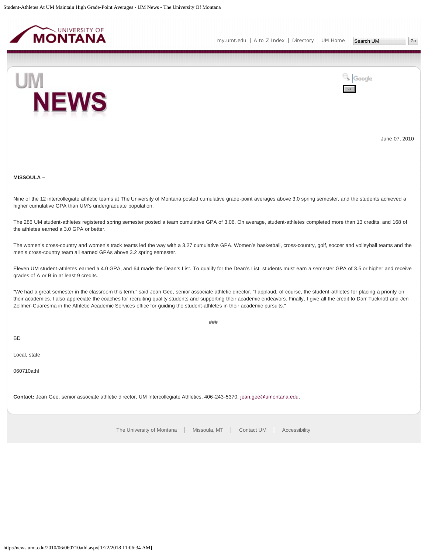<span id="page-37-0"></span>



June 07, 2010

# **MISSOULA –**

Nine of the 12 intercollegiate athletic teams at The University of Montana posted cumulative grade-point averages above 3.0 spring semester, and the students achieved a higher cumulative GPA than UM's undergraduate population.

The 286 UM student-athletes registered spring semester posted a team cumulative GPA of 3.06. On average, student-athletes completed more than 13 credits, and 168 of the athletes earned a 3.0 GPA or better.

The women's cross-country and women's track teams led the way with a 3.27 cumulative GPA. Women's basketball, cross-country, golf, soccer and volleyball teams and the men's cross-country team all earned GPAs above 3.2 spring semester.

Eleven UM student-athletes earned a 4.0 GPA, and 64 made the Dean's List. To qualify for the Dean's List, students must earn a semester GPA of 3.5 or higher and receive grades of A or B in at least 9 credits.

"We had a great semester in the classroom this term," said Jean Gee, senior associate athletic director. "I applaud, of course, the student-athletes for placing a priority on their academics. I also appreciate the coaches for recruiting quality students and supporting their academic endeavors. Finally, I give all the credit to Darr Tucknott and Jen Zellmer-Cuaresma in the Athletic Academic Services office for guiding the student-athletes in their academic pursuits."

###

BD

Local, state

060710athl

**Contact:** Jean Gee, senior associate athletic director, UM Intercollegiate Athletics, 406-243-5370, [jean.gee@umontana.edu](mailto:jean.gee@umontana.edu).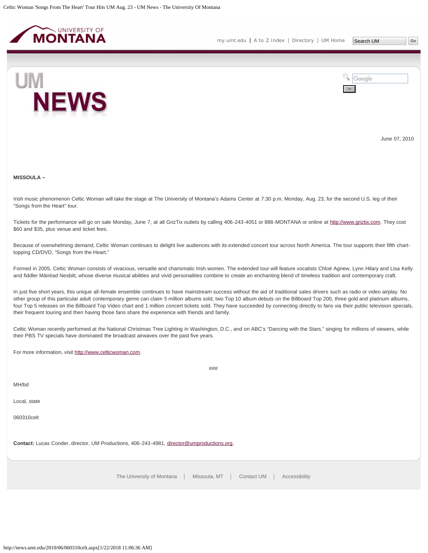<span id="page-38-0"></span>

**NEWS** 



June 07, 2010

**MISSOULA –**

UM

Irish music phenomenon Celtic Woman will take the stage at The University of Montana's Adams Center at 7:30 p.m. Monday, Aug. 23, for the second U.S. leg of their "Songs from the Heart" tour.

Tickets for the performance will go on sale Monday, June 7, at all GrizTix outlets by calling 406-243-4051 or 888-MONTANA or online at [http://www.griztix.com](http://www.griztix.com/). They cost \$60 and \$35, plus venue and ticket fees.

Because of overwhelming demand, Celtic Woman continues to delight live audiences with its extended concert tour across North America. The tour supports their fifth charttopping CD/DVD, "Songs from the Heart."

Formed in 2005, Celtic Woman consists of vivacious, versatile and charismatic Irish women. The extended tour will feature vocalists Chloë Agnew, Lynn Hilary and Lisa Kelly and fiddler Máiréad Nesbitt, whose diverse musical abilities and vivid personalities combine to create an enchanting blend of timeless tradition and contemporary craft.

In just five short years, this unique all-female ensemble continues to have mainstream success without the aid of traditional sales drivers such as radio or video airplay. No other group of this particular adult contemporary genre can claim 5 million albums sold, two Top 10 album debuts on the Billboard Top 200, three gold and platinum albums, four Top 5 releases on the Billboard Top Video chart and 1 million concert tickets sold. They have succeeded by connecting directly to fans via their public television specials, their frequent touring and then having those fans share the experience with friends and family.

Celtic Woman recently performed at the National Christmas Tree Lighting in Washington, D.C., and on ABC's "Dancing with the Stars," singing for millions of viewers, while their PBS TV specials have dominated the broadcast airwaves over the past five years.

###

For more information, visit [http://www.celticwoman.com.](http://www.celticwoman.com/)

MH/bd

Local, state

060310celt

**Contact:** Lucas Conder, director, UM Productions, 406-243-4981, [director@umproductions.org.](mailto:director@umproductions.org)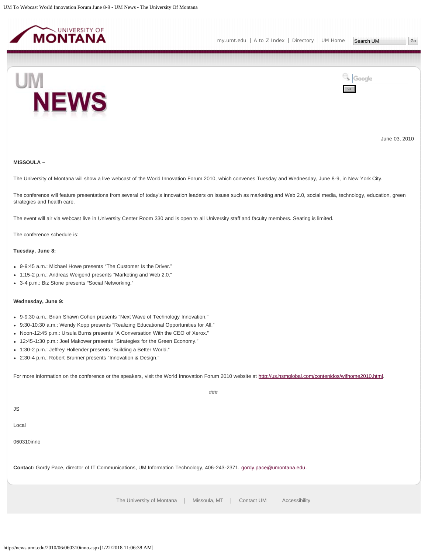<span id="page-39-0"></span>



June 03, 2010

# **MISSOULA –**

The University of Montana will show a live webcast of the World Innovation Forum 2010, which convenes Tuesday and Wednesday, June 8-9, in New York City.

The conference will feature presentations from several of today's innovation leaders on issues such as marketing and Web 2.0, social media, technology, education, green strategies and health care.

The event will air via webcast live in University Center Room 330 and is open to all University staff and faculty members. Seating is limited.

The conference schedule is:

# **Tuesday, June 8:**

- 9-9:45 a.m.: Michael Howe presents "The Customer Is the Driver."
- 1:15-2 p.m.: Andreas Weigend presents "Marketing and Web 2.0."
- 3-4 p.m.: Biz Stone presents "Social Networking."

#### **Wednesday, June 9:**

- 9-9:30 a.m.: Brian Shawn Cohen presents "Next Wave of Technology Innovation."
- 9:30-10:30 a.m.: Wendy Kopp presents "Realizing Educational Opportunities for All."
- Noon-12:45 p.m.: Ursula Burns presents "A Conversation With the CEO of Xerox."
- 12:45-1:30 p.m.: Joel Makower presents "Strategies for the Green Economy."
- 1:30-2 p.m.: Jeffrey Hollender presents "Building a Better World."
- 2:30-4 p.m.: Robert Brunner presents "Innovation & Design."

For more information on the conference or the speakers, visit the World Innovation Forum 2010 website at<http://us.hsmglobal.com/contenidos/wifhome2010.html>.

###

JS

Local

060310inno

**Contact:** Gordy Pace, director of IT Communications, UM Information Technology, 406-243-2371, [gordy.pace@umontana.edu](mailto:gordy.pace@umontana.edu).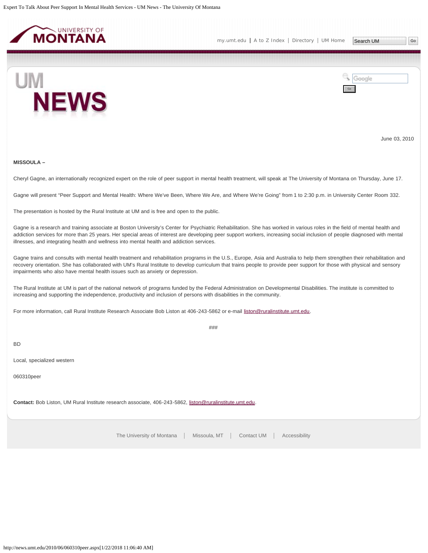<span id="page-40-0"></span>



June 03, 2010

### **MISSOULA –**

Cheryl Gagne, an internationally recognized expert on the role of peer support in mental health treatment, will speak at The University of Montana on Thursday, June 17.

Gagne will present "Peer Support and Mental Health: Where We've Been, Where We Are, and Where We're Going" from 1 to 2:30 p.m. in University Center Room 332.

The presentation is hosted by the Rural Institute at UM and is free and open to the public.

Gagne is a research and training associate at Boston University's Center for Psychiatric Rehabilitation. She has worked in various roles in the field of mental health and addiction services for more than 25 years. Her special areas of interest are developing peer support workers, increasing social inclusion of people diagnosed with mental illnesses, and integrating health and wellness into mental health and addiction services.

Gagne trains and consults with mental health treatment and rehabilitation programs in the U.S., Europe, Asia and Australia to help them strengthen their rehabilitation and recovery orientation. She has collaborated with UM's Rural Institute to develop curriculum that trains people to provide peer support for those with physical and sensory impairments who also have mental health issues such as anxiety or depression.

The Rural Institute at UM is part of the national network of programs funded by the Federal Administration on Developmental Disabilities. The institute is committed to increasing and supporting the independence, productivity and inclusion of persons with disabilities in the community.

For more information, call Rural Institute Research Associate Bob Liston at 406-243-5862 or e-mail [liston@ruralinstitute.umt.edu](mailto:liston@ruralinstitute.umt.edu).

###

BD

Local, specialized western

060310peer

Contact: Bob Liston, UM Rural Institute research associate, 406-243-5862, [liston@ruralinstitute.umt.edu](mailto:liston@ruralinstitute.umt.edu).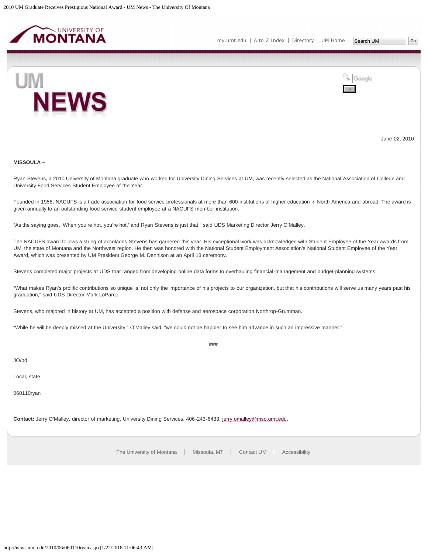<span id="page-41-0"></span>



June 02, 2010

#### **MISSOULA –**

Ryan Stevens, a 2010 University of Montana graduate who worked for University Dining Services at UM, was recently selected as the National Association of College and University Food Services Student Employee of the Year.

Founded in 1958, NACUFS is a trade association for food service professionals at more than 600 institutions of higher education in North America and abroad. The award is given annually to an outstanding food service student employee at a NACUFS member institution.

"As the saying goes, 'When you're hot, you're hot,' and Ryan Stevens is just that," said UDS Marketing Director Jerry O'Malley.

The NACUFS award follows a string of accolades Stevens has garnered this year. His exceptional work was acknowledged with Student Employee of the Year awards from UM, the state of Montana and the Northwest region. He then was honored with the National Student Employment Association's National Student Employee of the Year Award, which was presented by UM President George M. Dennison at an April 13 ceremony.

Stevens completed major projects at UDS that ranged from developing online data forms to overhauling financial-management and budget-planning systems.

"What makes Ryan's prolific contributions so unique is, not only the importance of his projects to our organization, but that his contributions will serve us many years past his graduation," said UDS Director Mark LoParco.

Stevens, who majored in history at UM, has accepted a position with defense and aerospace corporation Northrop-Grumman.

"While he will be deeply missed at the University," O'Malley said, "we could not be happier to see him advance in such an impressive manner."

###

JO/bd

Local, state

060110ryan

**Contact:** Jerry O'Malley, director of marketing, University Dining Services, 406-243-6433, [jerry.omalley@mso.umt.edu](mailto:jerry.omalley@mso.umt.edu).